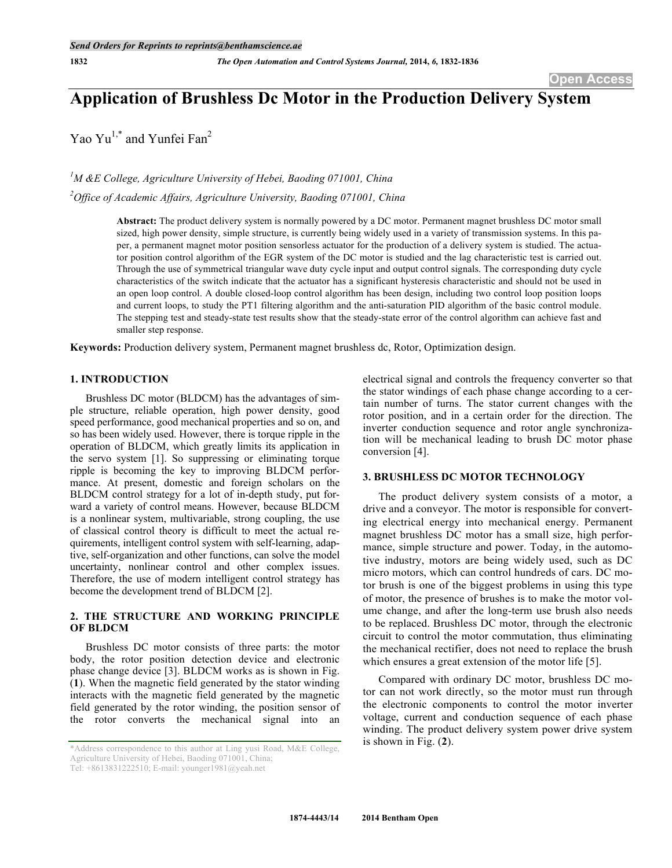# **Application of Brushless Dc Motor in the Production Delivery System**

Yao Yu<sup>1,\*</sup> and Yunfei Fan<sup>2</sup>

*1 M &E College, Agriculture University of Hebei, Baoding 071001, China 2 Office of Academic Affairs, Agriculture University, Baoding 071001, China*

> **Abstract:** The product delivery system is normally powered by a DC motor. Permanent magnet brushless DC motor small sized, high power density, simple structure, is currently being widely used in a variety of transmission systems. In this paper, a permanent magnet motor position sensorless actuator for the production of a delivery system is studied. The actuator position control algorithm of the EGR system of the DC motor is studied and the lag characteristic test is carried out. Through the use of symmetrical triangular wave duty cycle input and output control signals. The corresponding duty cycle characteristics of the switch indicate that the actuator has a significant hysteresis characteristic and should not be used in an open loop control. A double closed-loop control algorithm has been design, including two control loop position loops and current loops, to study the PT1 filtering algorithm and the anti-saturation PID algorithm of the basic control module. The stepping test and steady-state test results show that the steady-state error of the control algorithm can achieve fast and smaller step response.

**Keywords:** Production delivery system, Permanent magnet brushless dc, Rotor, Optimization design.

# **1. INTRODUCTION**

Brushless DC motor (BLDCM) has the advantages of simple structure, reliable operation, high power density, good speed performance, good mechanical properties and so on, and so has been widely used. However, there is torque ripple in the operation of BLDCM, which greatly limits its application in the servo system [1]. So suppressing or eliminating torque ripple is becoming the key to improving BLDCM performance. At present, domestic and foreign scholars on the BLDCM control strategy for a lot of in-depth study, put forward a variety of control means. However, because BLDCM is a nonlinear system, multivariable, strong coupling, the use of classical control theory is difficult to meet the actual requirements, intelligent control system with self-learning, adaptive, self-organization and other functions, can solve the model uncertainty, nonlinear control and other complex issues. Therefore, the use of modern intelligent control strategy has become the development trend of BLDCM [2].

# **2. THE STRUCTURE AND WORKING PRINCIPLE OF BLDCM**

Brushless DC motor consists of three parts: the motor body, the rotor position detection device and electronic phase change device [3]. BLDCM works as is shown in Fig. (**1**). When the magnetic field generated by the stator winding interacts with the magnetic field generated by the magnetic field generated by the rotor winding, the position sensor of the rotor converts the mechanical signal into an

electrical signal and controls the frequency converter so that the stator windings of each phase change according to a certain number of turns. The stator current changes with the rotor position, and in a certain order for the direction. The inverter conduction sequence and rotor angle synchronization will be mechanical leading to brush DC motor phase conversion [4].

## **3. BRUSHLESS DC MOTOR TECHNOLOGY**

The product delivery system consists of a motor, a drive and a conveyor. The motor is responsible for converting electrical energy into mechanical energy. Permanent magnet brushless DC motor has a small size, high performance, simple structure and power. Today, in the automotive industry, motors are being widely used, such as DC micro motors, which can control hundreds of cars. DC motor brush is one of the biggest problems in using this type of motor, the presence of brushes is to make the motor volume change, and after the long-term use brush also needs to be replaced. Brushless DC motor, through the electronic circuit to control the motor commutation, thus eliminating the mechanical rectifier, does not need to replace the brush which ensures a great extension of the motor life [5].

Compared with ordinary DC motor, brushless DC motor can not work directly, so the motor must run through the electronic components to control the motor inverter voltage, current and conduction sequence of each phase winding. The product delivery system power drive system is shown in Fig. (**2**).

<sup>\*</sup>Address correspondence to this author at Ling yusi Road, M&E College, Agriculture University of Hebei, Baoding 071001, China;

Tel: +8613831222510; E-mail: younger1981@yeah.net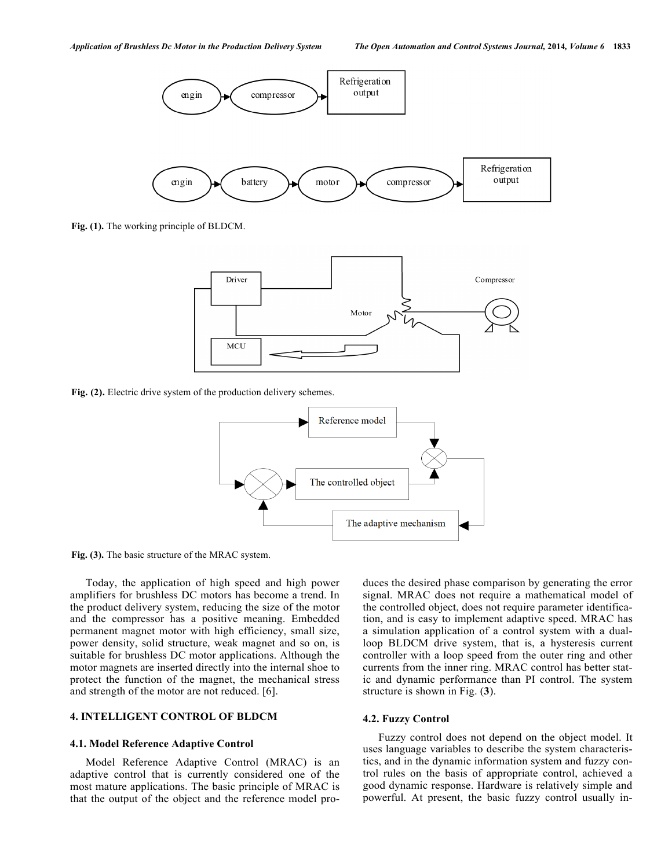

**Fig. (1).** The working principle of BLDCM.



**Fig. (2).** Electric drive system of the production delivery schemes.



**Fig. (3).** The basic structure of the MRAC system.

Today, the application of high speed and high power amplifiers for brushless DC motors has become a trend. In the product delivery system, reducing the size of the motor and the compressor has a positive meaning. Embedded permanent magnet motor with high efficiency, small size, power density, solid structure, weak magnet and so on, is suitable for brushless DC motor applications. Although the motor magnets are inserted directly into the internal shoe to protect the function of the magnet, the mechanical stress and strength of the motor are not reduced. [6].

# **4. INTELLIGENT CONTROL OF BLDCM**

#### **4.1. Model Reference Adaptive Control**

Model Reference Adaptive Control (MRAC) is an adaptive control that is currently considered one of the most mature applications. The basic principle of MRAC is that the output of the object and the reference model produces the desired phase comparison by generating the error signal. MRAC does not require a mathematical model of the controlled object, does not require parameter identification, and is easy to implement adaptive speed. MRAC has a simulation application of a control system with a dualloop BLDCM drive system, that is, a hysteresis current controller with a loop speed from the outer ring and other currents from the inner ring. MRAC control has better static and dynamic performance than PI control. The system structure is shown in Fig. (**3**).

#### **4.2. Fuzzy Control**

Fuzzy control does not depend on the object model. It uses language variables to describe the system characteristics, and in the dynamic information system and fuzzy control rules on the basis of appropriate control, achieved a good dynamic response. Hardware is relatively simple and powerful. At present, the basic fuzzy control usually in-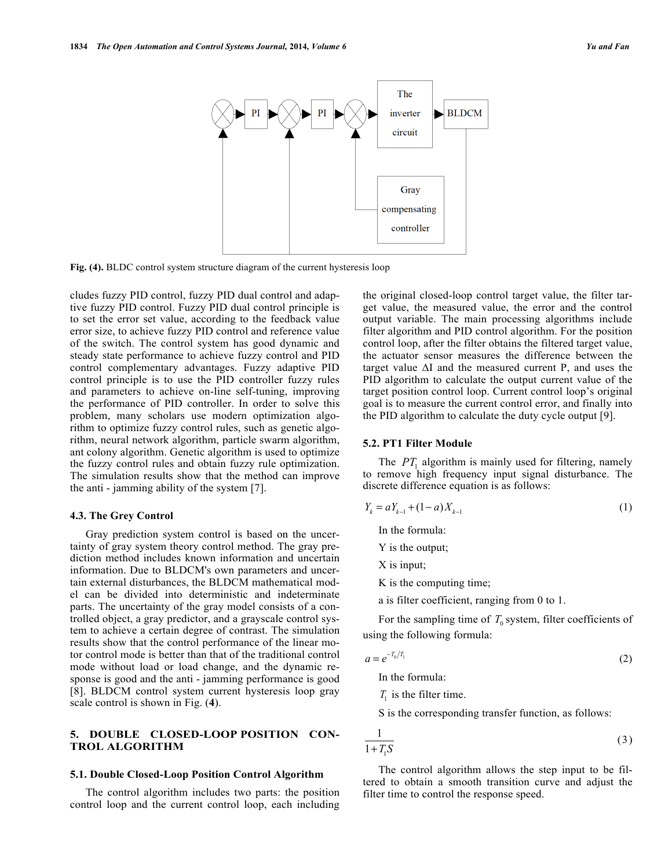

**Fig. (4).** BLDC control system structure diagram of the current hysteresis loop

cludes fuzzy PID control, fuzzy PID dual control and adaptive fuzzy PID control. Fuzzy PID dual control principle is to set the error set value, according to the feedback value error size, to achieve fuzzy PID control and reference value of the switch. The control system has good dynamic and steady state performance to achieve fuzzy control and PID control complementary advantages. Fuzzy adaptive PID control principle is to use the PID controller fuzzy rules and parameters to achieve on-line self-tuning, improving the performance of PID controller. In order to solve this problem, many scholars use modern optimization algorithm to optimize fuzzy control rules, such as genetic algorithm, neural network algorithm, particle swarm algorithm, ant colony algorithm. Genetic algorithm is used to optimize the fuzzy control rules and obtain fuzzy rule optimization. The simulation results show that the method can improve the anti - jamming ability of the system [7].

#### **4.3. The Grey Control**

Gray prediction system control is based on the uncertainty of gray system theory control method. The gray prediction method includes known information and uncertain information. Due to BLDCM's own parameters and uncertain external disturbances, the BLDCM mathematical model can be divided into deterministic and indeterminate parts. The uncertainty of the gray model consists of a controlled object, a gray predictor, and a grayscale control system to achieve a certain degree of contrast. The simulation results show that the control performance of the linear motor control mode is better than that of the traditional control mode without load or load change, and the dynamic response is good and the anti - jamming performance is good [8]. BLDCM control system current hysteresis loop gray scale control is shown in Fig. (**4**).

# **5. DOUBLE CLOSED-LOOP POSITION CON-TROL ALGORITHM**

#### **5.1. Double Closed-Loop Position Control Algorithm**

The control algorithm includes two parts: the position control loop and the current control loop, each including the original closed-loop control target value, the filter target value, the measured value, the error and the control output variable. The main processing algorithms include filter algorithm and PID control algorithm. For the position control loop, after the filter obtains the filtered target value, the actuator sensor measures the difference between the target value  $\Delta I$  and the measured current P, and uses the PID algorithm to calculate the output current value of the target position control loop. Current control loop's original goal is to measure the current control error, and finally into the PID algorithm to calculate the duty cycle output [9].

# **5.2. PT1 Filter Module**

The *PT*<sub>1</sub> algorithm is mainly used for filtering, namely to remove high frequency input signal disturbance. The discrete difference equation is as follows:

$$
Y_k = aY_{k-1} + (1 - a)X_{k-1} \tag{1}
$$

In the formula:

Y is the output;

X is input;

K is the computing time;

a is filter coefficient, ranging from 0 to 1.

For the sampling time of  $T_0$  system, filter coefficients of using the following formula:

$$
a = e^{-T_0/T_1} \tag{2}
$$

In the formula:

 $T<sub>1</sub>$  is the filter time.

S is the corresponding transfer function, as follows:

$$
\frac{1}{1+T_1S} \tag{3}
$$

The control algorithm allows the step input to be filtered to obtain a smooth transition curve and adjust the filter time to control the response speed.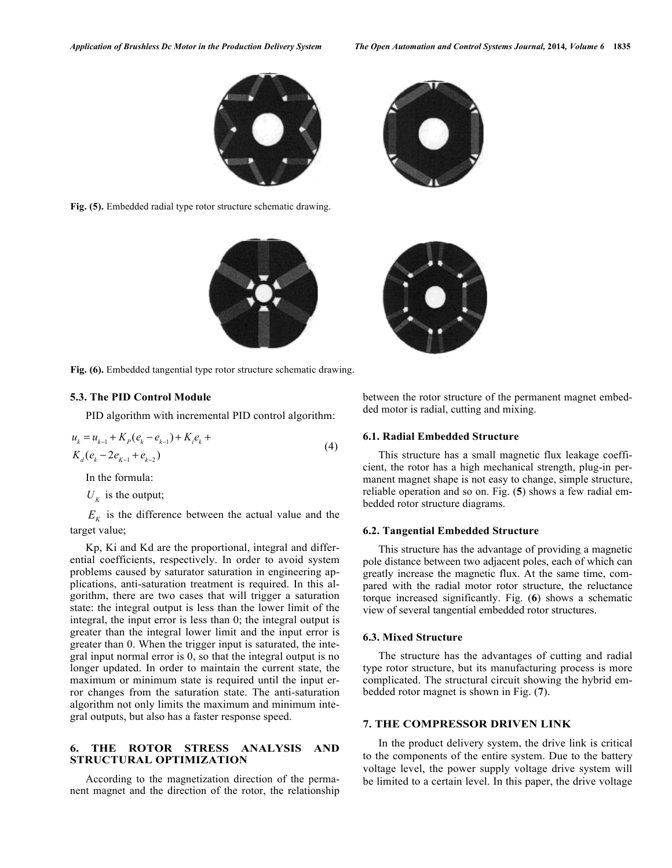

**Fig. (5).** Embedded radial type rotor structure schematic drawing.



**Fig. (6).** Embedded tangential type rotor structure schematic drawing.

# **5.3. The PID Control Module**

PID algorithm with incremental PID control algorithm:

$$
u_{k} = u_{k-1} + K_{P}(e_{k} - e_{k-1}) + K_{i}e_{k} + K_{d}(e_{k} - 2e_{k-1} + e_{k-2})
$$
\n
$$
(4)
$$

In the formula:

 $U<sub>K</sub>$  is the output;

 $E<sub>K</sub>$  is the difference between the actual value and the target value;

Kp, Ki and Kd are the proportional, integral and differential coefficients, respectively. In order to avoid system problems caused by saturator saturation in engineering applications, anti-saturation treatment is required. In this algorithm, there are two cases that will trigger a saturation state: the integral output is less than the lower limit of the integral, the input error is less than 0; the integral output is greater than the integral lower limit and the input error is greater than 0. When the trigger input is saturated, the integral input normal error is 0, so that the integral output is no longer updated. In order to maintain the current state, the maximum or minimum state is required until the input error changes from the saturation state. The anti-saturation algorithm not only limits the maximum and minimum integral outputs, but also has a faster response speed.

# **6. THE ROTOR STRESS ANALYSIS AND STRUCTURAL OPTIMIZATION**

According to the magnetization direction of the permanent magnet and the direction of the rotor, the relationship



## **6.1. Radial Embedded Structure**

This structure has a small magnetic flux leakage coefficient, the rotor has a high mechanical strength, plug-in permanent magnet shape is not easy to change, simple structure, reliable operation and so on. Fig. (**5**) shows a few radial embedded rotor structure diagrams.

## **6.2. Tangential Embedded Structure**

This structure has the advantage of providing a magnetic pole distance between two adjacent poles, each of which can greatly increase the magnetic flux. At the same time, compared with the radial motor rotor structure, the reluctance torque increased significantly. Fig. (**6**) shows a schematic view of several tangential embedded rotor structures.

## **6.3. Mixed Structure**

The structure has the advantages of cutting and radial type rotor structure, but its manufacturing process is more complicated. The structural circuit showing the hybrid embedded rotor magnet is shown in Fig. (**7**).

# **7. THE COMPRESSOR DRIVEN LINK**

In the product delivery system, the drive link is critical to the components of the entire system. Due to the battery voltage level, the power supply voltage drive system will be limited to a certain level. In this paper, the drive voltage